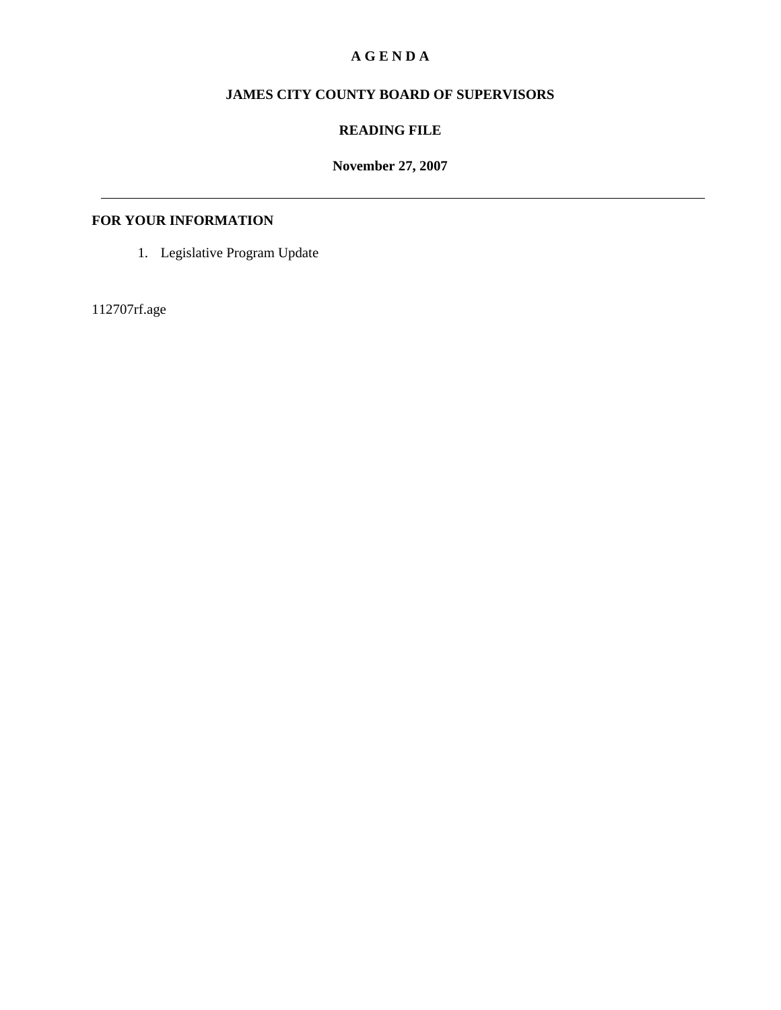#### **A G E N D A**

# **JAMES CITY COUNTY BOARD OF SUPERVISORS**

## **READING FILE**

## **November 27, 2007**

## **FOR YOUR INFORMATION**

1. Legislative Program Update

112707rf.age